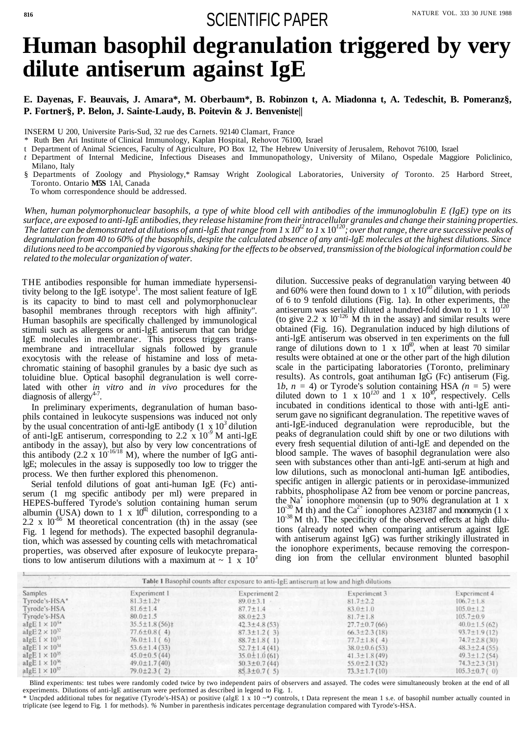## 816<br>SCIENTIFIC PAPER

# **Human basophil degranulation triggered by very dilute antiserum against IgE**

#### **E. Dayenas, F. Beauvais, J. Amara\*, M. Oberbaum\*, B. Robinzon t, A. Miadonna t, A. Tedeschit, B. Pomeranz§, P. Fortner§, P. Belon, J. Sainte-Laudy, B. Poitevin & J. Benveniste||**

INSERM U 200, Universite Paris-Sud, 32 rue des Carnets. 92140 Clamart, France

\* Ruth Ben Ari Institute of Clinical Immunology, Kaplan Hospital, Rehovot 76100, Israel

- t Department of Animal Sciences, Faculty of Agriculture, PO Box 12, The Hebrew University of Jerusalem, Rehovot 76100, Israel
- *t* Department of Internal Medicine, Infectious Diseases and Immunopathology, University of Milano, Ospedale Maggiore Policlinico, Milano, Italy

§ Departments of Zoology and Physiology,\* Ramsay Wright Zoological Laboratories, University *of* Toronto. 25 Harbord Street, Toronto. Ontario **M5S** 1Al, Canada

THE antibodies responsible for human immediate hypersensitivity belong to the  $I<sub>g</sub>E$  isotype<sup>1</sup>. The most salient feature of IgE is its capacity to bind to mast cell and polymorphonuclear basophil membranes through receptors with high affinity". Human basophils are specifically challenged by immunological stimuli such as allergens or anti-lgE antiserum that can bridge IgE molecules in membrane'. This process triggers transmembrane and intracellular signals followed by granule exocytosis with the release of histamine and loss of metachromatic staining of basophil granules by a basic dye such as toluidine blue. Optical basophil degranulation is well correlated with other *in vitro* and *in vivo* procedures for the diagnosis of allergy<sup>4-7</sup>.

To whom correspondence should be addressed.

*When, human polymorphonuclear basophils, a type of white blood cell with antibodies of the immunoglobulin E (IgE) type on its surface, are exposed to anti-IgE antibodies, they release histamine from their intracellular granules and change their staining properties. The latter can be demonstrated at dilutions of anti-lgE that range from 1* x *10<sup>12</sup> to 1* x 10*<sup>120</sup> ; over that range, there are successive peaks of degranulation from 40 to 60% of the basophils, despite the calculated absence of any anti-lgE molecules at the highest dilutions. Since dilutions need to be accompanied by vigorous shaking for the effects to be observed, transmission of the biological information could be related to the molecular organization of water.*

Serial tenfold dilutions of goat anti-human IgE (Fc) antiserum (1 mg specific antibody per ml) were prepared in HEPES-buffered Tyrode's solution containing human serum albumin (USA) down to 1 x  $10^{60}$  dilution, corresponding to a

dilution. Successive peaks of degranulation varying between 40 and 60% were then found down to  $1 \times 10^{60}$  dilution, with periods of 6 to 9 tenfold dilutions (Fig. 1a). In other experiments, the antiserum was serially diluted a hundred-fold down to 1 x 10*<sup>120</sup>* (to give 2.2 x  $10^{-126}$  M th in the assay) and similar results were obtained (Fig. 16). Degranulation induced by high dilutions of anti-lgE antiserum was observed in ten experiments on the full range of dilutions down to 1 x  $10^{60}$ , when at least 70 similar results were obtained at one or the other part of the high dilution scale in the participating laboratories (Toronto, preliminary results). As controls, goat antihuman IgG (Fc) antiserum (Fig. 1*b, n* = 4) or Tyrode's solution containing HSA *(n* = 5) were diluted down to 1 x  $10^{120}$  and 1 x  $10^{30}$ , respectively. Cells incubated in conditions identical to those with anti-lgE antiserum gave no significant degranulation. The repetitive waves of anti-IgE-induced degranulation were reproducible, but the peaks of degranulation could shift by one or two dilutions with every fresh sequential dilution of anti-lgE and depended on the blood sample. The waves of basophil degranulation were also seen with substances other than anti-lgE anti-serum at high and low dilutions, such as monoclonal anti-human IgE antibodies, specific antigen in allergic patients or in peroxidase-immunized rabbits, phospholipase A2 from bee venom or porcine pancreas, the  $\overline{Na}^+$  ionophore monensin (up to 90% degranulation at 1 x  $10^{-30}$  M th) and the Ca<sup>2+</sup> ionophores A23187 and monomycin (1 x

2.2 x  $10^{-66}$  M theoretical concentration (th) in the assay (see Fig. 1 legend for methods). The expected basophil degranulation, which was assessed by counting cells with metachromatical properties, was observed after exposure of leukocyte preparations to low antiserum dilutions with a maximum at  $\sim 1 \times 10^3$ 

In preliminary experiments, degranulation of human basophils contained in leukocyte suspensions was induced not only by the usual concentration of anti-lgE antibody  $(1 \times 10^3)$  dilution of anti-lgE antiserum, corresponding to 2.2 x 10*-9* M anti-lgE antibody in the assay), but also by very low concentrations of this antibody  $(2.2 \times 10^{-16/18} \text{ M})$ , where the number of IgG antilgE; molecules in the assay is supposedly too low to trigger the process. We then further explored this phenomenon.

> 10<sup>-38</sup> M th). The specificity of the observed effects at high dilutions (already noted when comparing antiserum against IgE with antiserum against IgG) was further strikingly illustrated in the ionophore experiments, because removing the corresponding ion from the cellular environment blunted basophil

| The second control of the second con-<br>Table 1 Basophil counts after exposure to anti-IgE antiserum at low and high dilutions |                     |                     |                     |                     |  |  |
|---------------------------------------------------------------------------------------------------------------------------------|---------------------|---------------------|---------------------|---------------------|--|--|
| Samples                                                                                                                         | Experiment 1        | Experiment 2        | Experiment 3        | Experiment 4        |  |  |
| Tyrode's-HSA*                                                                                                                   | $81.3 \pm 1.2$ †    | $89.0 \pm 3.1$      | $81.7 \pm 2.2$      | $106.7 \pm 1.8$     |  |  |
| Tyrode's-HSA                                                                                                                    | $81.6 \pm 1.4$      | $87.7 \pm 1.4$      | $83.0 \pm 1.0$      | $105.0 \pm 1.2$     |  |  |
| Tyrode's-HSA                                                                                                                    | $80.0 \pm 1.5$      | $88.0 \pm 2.3$      | $81.7 \pm 1.8$      | $105.7 \pm 0.9$     |  |  |
| algE $1 \times 10^{3*}$                                                                                                         | $35.5 \pm 1.8(56)$  | $42.3 \pm 4.8$ (53) | $27.7 \pm 0.7$ (66) | $40.0 \pm 1.5(62)$  |  |  |
| algebra $10^{32}$                                                                                                               | $77.6 \pm 0.8$ (4)  | $87.3 \pm 1.2$ (3)  | $66.3 \pm 2.3$ (18) | $93.7 \pm 1.9(12)$  |  |  |
| aIgE $1 \times 10^{33}$                                                                                                         | $76.0 \pm 1.1(6)$   | $88.7 \pm 1.8(1)$   | $77.7 \pm 1.8(4)$   | $74.7 \pm 2.8$ (30) |  |  |
| algebra $1 \times 10^{34}$                                                                                                      | $53.6 \pm 1.4(33)$  | $52.7 \pm 1.4(41)$  | $38.0 \pm 0.6$ (53) | $48.3 \pm 2.4(55)$  |  |  |
| aIgE $1 \times 10^{35}$                                                                                                         | $45.0 \pm 0.5$ (44) | $35.0 \pm 1.0$ (61) | $41.3 \pm 1.8$ (49) | $49.3 \pm 1.2$ (54) |  |  |
| aIgE $1 \times 10^{36}$                                                                                                         | $49.0 \pm 1.7$ (40) | $50.3 \pm 0.7(44)$  | $55.0 \pm 2.1$ (32) | $74.3 \pm 2.3$ (31) |  |  |
| aIgE $1 \times 10^{37}$                                                                                                         | $79.0 \pm 2.3(2)$   | $85.3 \pm 0.7(5)$   | $73.3 \pm 1.7(10)$  | $105.3 \pm 0.7$ (0) |  |  |

Blind experiments: test tubes were randomly coded twice by two independent pairs of observers and assayed. The codes were simultaneously broken at the end of all experiments. Dilutions of anti-lgE antiserum were performed as described in legend to Fig. 1.

\* Uncpded additional tubes for negative (Tyrode's-HSA) or positive (algE 1 x 10 *~\*)* controls, t Data represent the mean 1 s.e. of basophil number actually counted in triplicate (see legend to Fig. 1 for methods). *%* Number in parenthesis indicates percentage degranulation compared with Tyrode's-HSA.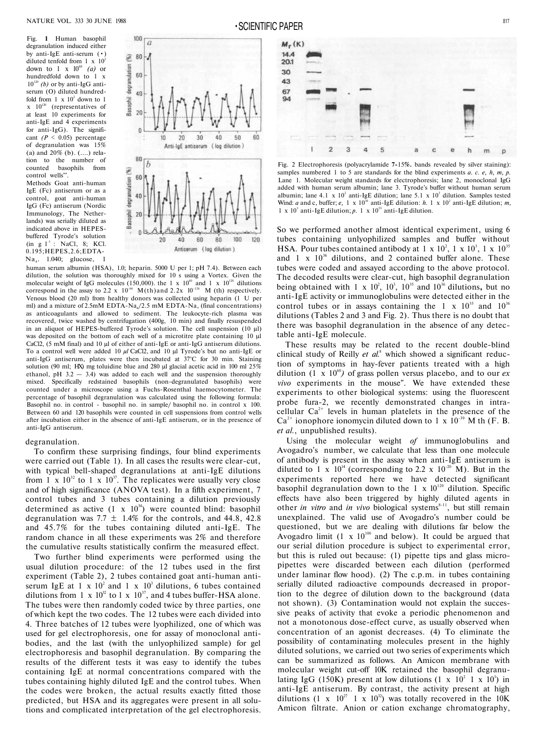Fig. **1** Human basophil degranulation induced either by anti-IgE anti-serum (•) diluted tenfold from 1 x  $10^2$ down to 1 x  $10^{60}$  *(a)* or hundredfold down to 1 x  $10^{120}$  *(b)* or by anti-IgG antiserum (O) diluted hundredfold from  $1 \times 10^2$  down to 1  $\mathbf{x}$  10<sup>120</sup> (representatives of at least 10 experiments for anti-IgE and 4 experiments for anti-IgG). The significant  $(P \le 0.05)$  percentage of degranulation was 15% (a) and  $20\%$  (b). (....) relation to the number of counted basophils from control wells'''.

Methods Goat anti-human IgE (Fc) antiserum or as a control, goat anti-human IgG (Fc) antiserum (Nordic Immunology, The Netherlands) was serially diluted as indicated above in HEPESbuffered Tyrode's solution  $(in g 1<sup>-1</sup> : NaCl, 8; KCl.$ 0.195;HEPES,2.6;EDTA-

Na<sub>4</sub>. 1.040; glucose, 1

human serum albumin (HSA), 1.0; heparin. 5000 U per 1; pH 7.4). Between each dilution, the solution was thoroughly mixed for 10 s using a Vortex. Given the molecular weight of IgG molecules (150,000). the 1 x  $10^{60}$  and 1 x  $10^{120}$  dilutions correspond in the assay to 2.2 x  $10^{-66}$  M(th)and 2.2x  $10^{-126}$  M (th) respectively. Venous blood (20 ml) from healthy donors was collected using heparin (1 U per ml) and a mixture of 2.5mM EDTA-Na<sub>4</sub>/2.5 mM EDTA-Na, (final concentrations) as anticoagulants and allowed to sediment. The leukocyte-rich plasma was recovered, twice washed by centrifugation (400g, 10 min) and finally resuspended in an aliquot of HEPES-buffered Tyrode's solution. The cell suspension  $(10 \mu l)$ was deposited on the bottom of each well of a microtitre plate containing 10 μl CaCl2, (5 mM final) and 10 μl of either of anti-IgE or anti-IgG antiserum dilutions. To a control well were added 10 *μl* CaCl2, and 10 μl Tyrode's but no anti-IgE or anti-IgG antiserum, plates were then incubated at 37°C for 30 min. Staining solution (90 ml; HX) mg toluidine blue and 280 μl glacial acetic acid in 100 ml 25% ethanol, pH  $3.2 - 3.4$ ) was added to each well and the suspension thoroughly mixed. Specifically redstained basophils (non-degranulated basophils) were counted under a microscope using a Fuchs-Rosenthal haemocytometer. The percentage of basophil degranulation was calculated using the following formula: Basophil no. in control - basophil no. in sample/ basophil no. in control x 100. Between 60 arid 120 basophils were counted in cell suspensions from control wells after incubation either in the absence of anti-IgE antiserum, or in the presence of anti-IgG antiserum.



Fig. 2 Electrophoresis (polyacrylamide **7-**15**%.** bands revealed by silver staining): samples numbered 1 to 5 are standards for the blind experiments *a. c. e, h, m, p.* Lane 1. Molecular weight standards for electrophoresis; lane 2, monoclonal IgG added with human serum albumin; lane 3. Tyrode's buffer without human serum albumin; lane 4.1 x 10<sup>2</sup> anti-IgE dilution; lane 5.1 x 10<sup>3</sup> dilution. Samples tested Wind: *a* and c, buffer; *e*, 1 x 10<sup>36</sup> anti-IgE dilution: *h*. 1 x 10<sup>2</sup> anti-IgE dilution; *m*, 1 x  $10^3$  anti-IgE dilution; p. 1 x  $10^{35}$  anti-IgE dilution.

#### degranulation.

To confirm these surprising findings, four blind experiments were carried out (Table 1). In all cases the results were clear-cut, with typical bell-shaped degranulations at anti-IgE dilutions from 1 x  $10^{32}$  to 1 x  $10^{37}$ . The replicates were usually very close and of high significance (ANOVA test). In a fifth experiment, 7 control tubes and 3 tubes containing a dilution previously determined as active  $(1 \times 10^{34})$  were counted blind: basophil degranulation was 7.7  $\pm$  1.4% for the controls, and 44.8, 42.8 and 45.7% for the tubes containing diluted anti-IgE. The random chance in all these experiments was 2% and therefore the cumulative results statistically confirm the measured effect.

Two further blind experiments were performed using the usual dilution procedure: of the 12 tubes used in the first experiment (Table 2), 2 tubes contained goat anti-human antiserum IgE at 1 x  $10^2$  and 1 x  $10^3$  dilutions, 6 tubes contained dilutions from 1 x  $10^{32}$  to 1 x  $10^{37}$ , and 4 tubes buffer-HSA alone. The tubes were then randomly coded twice by three parties, one of which kept the two codes. The 12 tubes were each divided into 4. Three batches of 12 tubes were lyophilized, one of which was used for gel electrophoresis, one for assay of monoclonal antibodies, and the last (with the unlyophilized sample) for gel electrophoresis and basophil degranulation. By comparing the results of the different tests it was easy to identify the tubes containing IgE at normal concentrations compared with the tubes containing highly diluted IgE and the control tubes. When the codes were broken, the actual results exactly fitted those predicted, but HSA and its aggregates were present in all solutions and complicated interpretation of the gel electrophoresis.



So we performed another almost identical experiment, using 6 tubes containing unlyophilized samples and buffer without HSA. Pour tubes contained antibody at  $1 \times 10^2$ ,  $1 \times 10^3$ ,  $1 \times 10^{35}$ and 1 x  $10^{36}$  dilutions, and 2 contained buffer alone. These tubes were coded and assayed according to the above protocol. The decoded results were clear-cut, high basophil degranulation being obtained with  $1 \times 10^2$ ,  $10^3$ ,  $10^{35}$  and  $10^{36}$  dilutions, but no anti-IgE activity or immunoglobulins were detected either in the control tubes or in assays containing the 1 x  $10^{35}$  and  $10^{36}$ dilutions (Tables 2 and 3 and Fig. 2). Thus there is no doubt that there was basophil degranulation in the absence of any detectable anti-IgE molecule.

These results may be related to the recent double-blind clinical study of Reilly et al.<sup>8</sup> which showed a significant reduction of symptoms in hay-fever patients treated with a high dilution (1 x  $10^{60}$ ) of grass pollen versus placebo, and to our *ex vivo* experiments in the mouse". We have extended these experiments to other biological systems: using the fluorescent probe fura-2, we recently demonstrated changes in intracellular  $Ca^{2+}$  levels in human platelets in the presence of the  $Ca^{2+}$  ionophore ionomycin diluted down to 1 x  $10^{-39}$  M th (F. B. *et al.*, unpublished results).

Using the molecular weight *of* immunoglobulins and Avogadro's number, we calculate that less than one molecule of antibody is present in the assay when anti-IgE antiserum is diluted to 1 x  $10^{14}$  (corresponding to 2.2 x  $10^{-20}$  M). But in the experiments reported here we have detected significant basophil degranulation down to the 1 x  $10^{120}$  dilution. Specific effects have also been triggered by highly diluted agents in other *in vitro* and *in vivo* biological systems<sup>8-11</sup>, but still remain unexplained. The valid use of Avogadro's number could be questioned, but we are dealing with dilutions far below the Avogadro limit (1 x  $10^{100}$  and below). It could be argued that our serial dilution procedure is subject to experimental error, but this is ruled out because: (1) pipette tips and glass micropipettes were discarded between each dilution (performed under laminar flow hood). (2) The c.p.m. in tubes containing serially diluted radioactive compounds decreased in proportion to the degree of dilution down to the background (data not shown). (3) Contamination would not explain the successive peaks of activity that evoke a periodic phenomenon and not a monotonous dose-effect curve, as usually observed when concentration of an agonist decreases. (4) To eliminate the possibility of contaminating molecules present in the highly diluted solutions, we carried out two series of experiments which can be summarized as follows. An Amicon membrane with molecular weight cut-off 10K retained the basophil degranulating IgG (150K) present at low dilutions (1 x  $10^2$  1 x  $10^3$ ) in anti-IgE antiserum. By contrast, the activity present at high dilutions  $(1 \times 10^{27} \text{ 1} \times 10^{32})$  was totally recovered in the 10K Amicon filtrate. Anion or cation exchange chromatography,